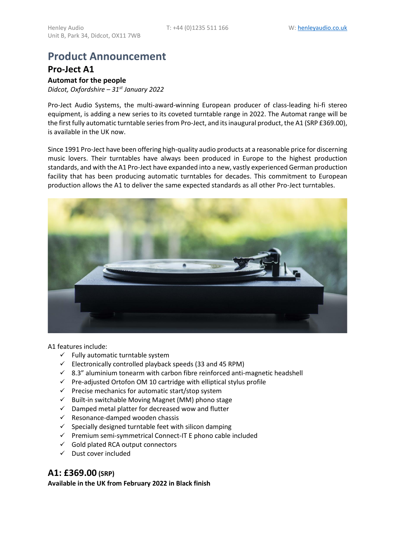# **Product Announcement**

## **Pro-Ject A1**

**Automat for the people** *Didcot, Oxfordshire – 31st January 2022*

Pro-Ject Audio Systems, the multi-award-winning European producer of class-leading hi-fi stereo equipment, is adding a new series to its coveted turntable range in 2022. The Automat range will be the first fully automatic turntable series from Pro-Ject, and its inaugural product, the A1 (SRP £369.00), is available in the UK now.

Since 1991 Pro-Ject have been offering high-quality audio products at a reasonable price for discerning music lovers. Their turntables have always been produced in Europe to the highest production standards, and with the A1 Pro-Ject have expanded into a new, vastly experienced German production facility that has been producing automatic turntables for decades. This commitment to European production allows the A1 to deliver the same expected standards as all other Pro-Ject turntables.



A1 features include:

- $\checkmark$  Fully automatic turntable system
- $\checkmark$  Electronically controlled playback speeds (33 and 45 RPM)
- $\checkmark$  8.3" aluminium tonearm with carbon fibre reinforced anti-magnetic headshell
- ✓ Pre-adjusted Ortofon OM 10 cartridge with elliptical stylus profile
- ✓ Precise mechanics for automatic start/stop system
- ✓ Built-in switchable Moving Magnet (MM) phono stage
- ✓ Damped metal platter for decreased wow and flutter
- $\checkmark$  Resonance-damped wooden chassis
- $\checkmark$  Specially designed turntable feet with silicon damping
- ✓ Premium semi-symmetrical Connect-IT E phono cable included
- $\checkmark$  Gold plated RCA output connectors
- ✓ Dust cover included

### **A1: £369.00 (SRP)**

**Available in the UK from February 2022 in Black finish**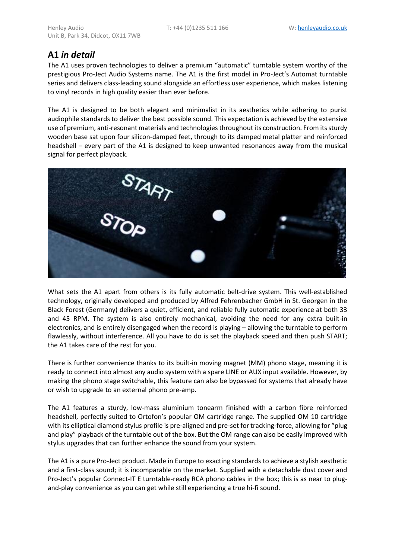# **A1** *in detail*

The A1 uses proven technologies to deliver a premium "automatic" turntable system worthy of the prestigious Pro-Ject Audio Systems name. The A1 is the first model in Pro-Ject's Automat turntable series and delivers class-leading sound alongside an effortless user experience, which makes listening to vinyl records in high quality easier than ever before.

The A1 is designed to be both elegant and minimalist in its aesthetics while adhering to purist audiophile standards to deliver the best possible sound. This expectation is achieved by the extensive use of premium, anti-resonant materials and technologies throughout its construction. From its sturdy wooden base sat upon four silicon-damped feet, through to its damped metal platter and reinforced headshell – every part of the A1 is designed to keep unwanted resonances away from the musical signal for perfect playback.



What sets the A1 apart from others is its fully automatic belt-drive system. This well-established technology, originally developed and produced by Alfred Fehrenbacher GmbH in St. Georgen in the Black Forest (Germany) delivers a quiet, efficient, and reliable fully automatic experience at both 33 and 45 RPM. The system is also entirely mechanical, avoiding the need for any extra built-in electronics, and is entirely disengaged when the record is playing – allowing the turntable to perform flawlessly, without interference. All you have to do is set the playback speed and then push START; the A1 takes care of the rest for you.

There is further convenience thanks to its built-in moving magnet (MM) phono stage, meaning it is ready to connect into almost any audio system with a spare LINE or AUX input available. However, by making the phono stage switchable, this feature can also be bypassed for systems that already have or wish to upgrade to an external phono pre-amp.

The A1 features a sturdy, low-mass aluminium tonearm finished with a carbon fibre reinforced headshell, perfectly suited to Ortofon's popular OM cartridge range. The supplied OM 10 cartridge with its elliptical diamond stylus profile is pre-aligned and pre-set for tracking-force, allowing for "plug and play" playback of the turntable out of the box. But the OM range can also be easily improved with stylus upgrades that can further enhance the sound from your system.

The A1 is a pure Pro-Ject product. Made in Europe to exacting standards to achieve a stylish aesthetic and a first-class sound; it is incomparable on the market. Supplied with a detachable dust cover and Pro-Ject's popular Connect-IT E turntable-ready RCA phono cables in the box; this is as near to plugand-play convenience as you can get while still experiencing a true hi-fi sound.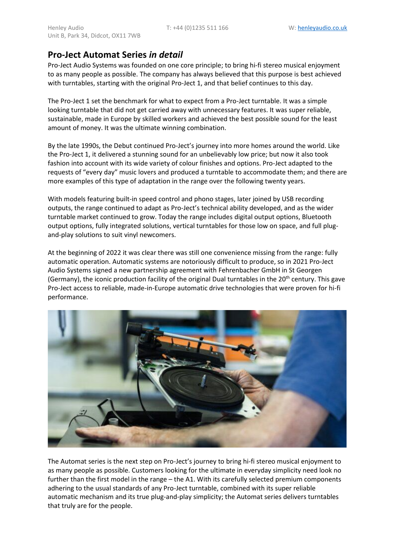# **Pro-Ject Automat Series** *in detail*

Pro-Ject Audio Systems was founded on one core principle; to bring hi-fi stereo musical enjoyment to as many people as possible. The company has always believed that this purpose is best achieved with turntables, starting with the original Pro-Ject 1, and that belief continues to this day.

The Pro-Ject 1 set the benchmark for what to expect from a Pro-Ject turntable. It was a simple looking turntable that did not get carried away with unnecessary features. It was super reliable, sustainable, made in Europe by skilled workers and achieved the best possible sound for the least amount of money. It was the ultimate winning combination.

By the late 1990s, the Debut continued Pro-Ject's journey into more homes around the world. Like the Pro-Ject 1, it delivered a stunning sound for an unbelievably low price; but now it also took fashion into account with its wide variety of colour finishes and options. Pro-Ject adapted to the requests of "every day" music lovers and produced a turntable to accommodate them; and there are more examples of this type of adaptation in the range over the following twenty years.

With models featuring built-in speed control and phono stages, later joined by USB recording outputs, the range continued to adapt as Pro-Ject's technical ability developed, and as the wider turntable market continued to grow. Today the range includes digital output options, Bluetooth output options, fully integrated solutions, vertical turntables for those low on space, and full plugand-play solutions to suit vinyl newcomers.

At the beginning of 2022 it was clear there was still one convenience missing from the range: fully automatic operation. Automatic systems are notoriously difficult to produce, so in 2021 Pro-Ject Audio Systems signed a new partnership agreement with Fehrenbacher GmbH in St Georgen (Germany), the iconic production facility of the original Dual turntables in the  $20<sup>th</sup>$  century. This gave Pro-Ject access to reliable, made-in-Europe automatic drive technologies that were proven for hi-fi performance.



The Automat series is the next step on Pro-Ject's journey to bring hi-fi stereo musical enjoyment to as many people as possible. Customers looking for the ultimate in everyday simplicity need look no further than the first model in the range – the A1. With its carefully selected premium components adhering to the usual standards of any Pro-Ject turntable, combined with its super reliable automatic mechanism and its true plug-and-play simplicity; the Automat series delivers turntables that truly are for the people.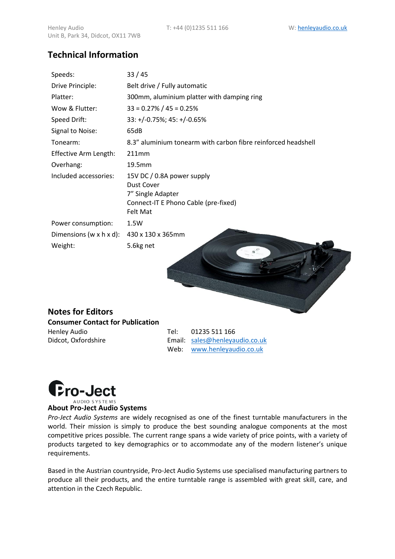# Unit B, Park 34, Didcot, OX11 7WB **Technical Information**

| Speeds:                 | 33/45                                                                                                             |
|-------------------------|-------------------------------------------------------------------------------------------------------------------|
| Drive Principle:        | Belt drive / Fully automatic                                                                                      |
| Platter:                | 300mm, aluminium platter with damping ring                                                                        |
| Wow & Flutter:          | $33 = 0.27\% / 45 = 0.25\%$                                                                                       |
| Speed Drift:            | $33: +/-0.75\%; 45: +/-0.65\%$                                                                                    |
| Signal to Noise:        | 65dB                                                                                                              |
| Tonearm:                | 8.3" aluminium tonearm with carbon fibre reinforced headshell                                                     |
| Effective Arm Length:   | 211mm                                                                                                             |
| Overhang:               | 19.5mm                                                                                                            |
| Included accessories:   | 15V DC / 0.8A power supply<br>Dust Cover<br>7" Single Adapter<br>Connect-IT E Phono Cable (pre-fixed)<br>Felt Mat |
| Power consumption:      | 1.5W                                                                                                              |
| Dimensions (w x h x d): | 430 x 130 x 365mm                                                                                                 |
| Weight:                 | 5.6kg net                                                                                                         |

### **Notes for Editors Consumer Contact for Publication**

Henley Audio Tel: 01235 511 166

Didcot, Oxfordshire **Email:** [sales@henleyaudio.co.uk](mailto:sales@henleyaudio.co.uk) Web: [www.henleyaudio.co.uk](http://www.henleyaudio.co.uk/) 



### **About Pro-Ject Audio Systems**

*Pro-Ject Audio Systems* are widely recognised as one of the finest turntable manufacturers in the world. Their mission is simply to produce the best sounding analogue components at the most competitive prices possible. The current range spans a wide variety of price points, with a variety of products targeted to key demographics or to accommodate any of the modern listener's unique requirements.

Based in the Austrian countryside, Pro-Ject Audio Systems use specialised manufacturing partners to produce all their products, and the entire turntable range is assembled with great skill, care, and attention in the Czech Republic.